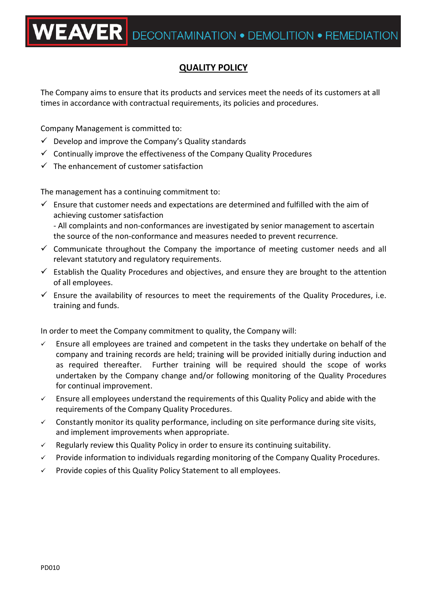## **QUALITY POLICY**

The Company aims to ensure that its products and services meet the needs of its customers at all times in accordance with contractual requirements, its policies and procedures.

Company Management is committed to:

- $\checkmark$  Develop and improve the Company's Quality standards
- $\checkmark$  Continually improve the effectiveness of the Company Quality Procedures
- $\checkmark$  The enhancement of customer satisfaction

The management has a continuing commitment to:

 $\checkmark$  Ensure that customer needs and expectations are determined and fulfilled with the aim of achieving customer satisfaction - All complaints and non-conformances are investigated by senior management to ascertain

the source of the non-conformance and measures needed to prevent recurrence.

- $\checkmark$  Communicate throughout the Company the importance of meeting customer needs and all relevant statutory and regulatory requirements.
- $\checkmark$  Establish the Quality Procedures and objectives, and ensure they are brought to the attention of all employees.
- $\checkmark$  Ensure the availability of resources to meet the requirements of the Quality Procedures, i.e. training and funds.

In order to meet the Company commitment to quality, the Company will:

- $\checkmark$  Ensure all employees are trained and competent in the tasks they undertake on behalf of the company and training records are held; training will be provided initially during induction and as required thereafter. Further training will be required should the scope of works undertaken by the Company change and/or following monitoring of the Quality Procedures for continual improvement.
- $\checkmark$  Ensure all employees understand the requirements of this Quality Policy and abide with the requirements of the Company Quality Procedures.
- $\checkmark$  Constantly monitor its quality performance, including on site performance during site visits, and implement improvements when appropriate.
- $\checkmark$  Regularly review this Quality Policy in order to ensure its continuing suitability.
- $\checkmark$  Provide information to individuals regarding monitoring of the Company Quality Procedures.
- $\checkmark$  Provide copies of this Quality Policy Statement to all employees.